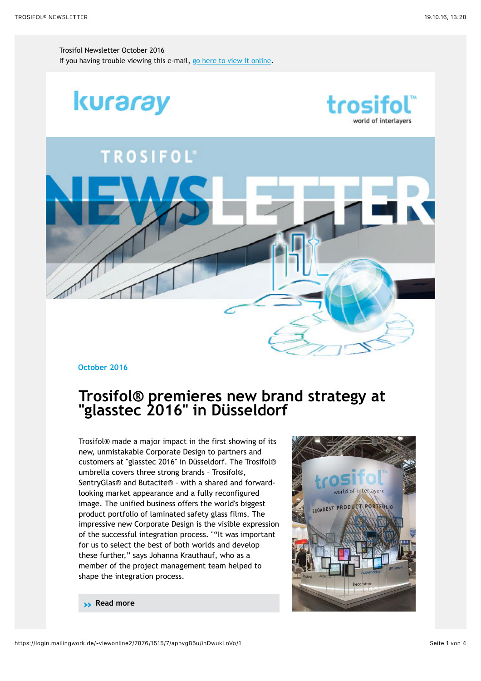Trosifol Newsletter October 2016 If you having trouble viewing this e-mail, [go here to view it online](https://login.mailingwork.de/-link2/7876/1515/1/119/7/apnvgB5u/inDwukLnVo/0/aHR0cHM6Ly9sb2dpbi5tYWlsaW5nd29yay5kZS8tdmlld29ubGluZTIvNzg3Ni8xNTE1LzcvYXBudmdCNXUvaW5Ed3VrTG5Wby8x).



#### **October 2016**

## **Trosifol® premieres new brand strategy at "glasstec 2016" in Düsseldorf**

Trosifol® made a major impact in the first showing of its new, unmistakable Corporate Design to partners and customers at "glasstec 2016" in Düsseldorf. The Trosifol® umbrella covers three strong brands – Trosifol®, SentryGlas® and Butacite® – with a shared and forwardlooking market appearance and a fully reconfigured image. The unified business offers the world's biggest product portfolio of laminated safety glass films. The impressive new Corporate Design is the visible expression of the successful integration process. ""It was important for us to select the best of both worlds and develop these further," says Johanna Krauthauf, who as a member of the project management team helped to shape the integration process.



**» [Read more](https://login.mailingwork.de/-link2/7876/1515/7/125/7/apnvgB5u/inDwukLnVo/0)**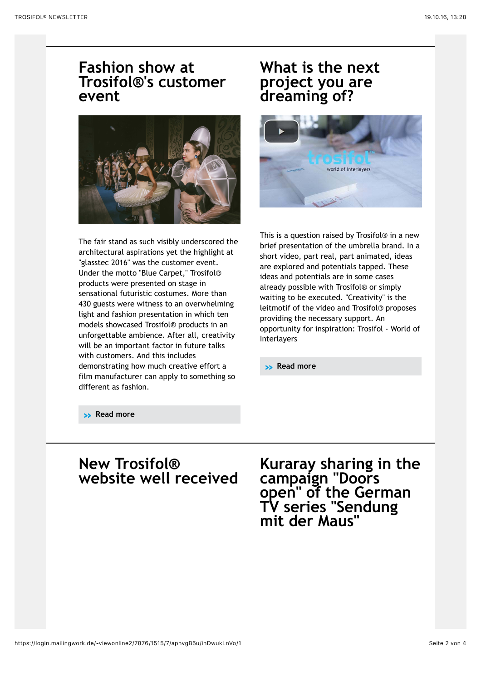### **Fashion show at Trosifol®'s customer event**



The fair stand as such visibly underscored the architectural aspirations yet the highlight at "glasstec 2016" was the customer event. Under the motto "Blue Carpet," Trosifol® products were presented on stage in sensational futuristic costumes. More than 430 guests were witness to an overwhelming light and fashion presentation in which ten models showcased Trosifol® products in an unforgettable ambience. After all, creativity will be an important factor in future talks with customers. And this includes demonstrating how much creative effort a film manufacturer can apply to something so different as fashion.

# **What is the next project you are dreaming of?**



This is a question raised by Trosifol® in a new brief presentation of the umbrella brand. In a short video, part real, part animated, ideas are explored and potentials tapped. These ideas and potentials are in some cases already possible with Trosifol® or simply waiting to be executed. "Creativity" is the leitmotif of the video and Trosifol® proposes providing the necessary support. An opportunity for inspiration: Trosifol - World of Interlayers

**» [Read more](https://login.mailingwork.de/-link2/7876/1515/9/135/7/apnvgB5u/inDwukLnVo/0)**

**» [Read more](https://login.mailingwork.de/-link2/7876/1515/7/131/7/apnvgB5u/inDwukLnVo/0)**

## **New Trosifol® website well received Kuraray sharing in the campaign "Doors**

**open" of the German TV series "Sendung mit der Maus"**